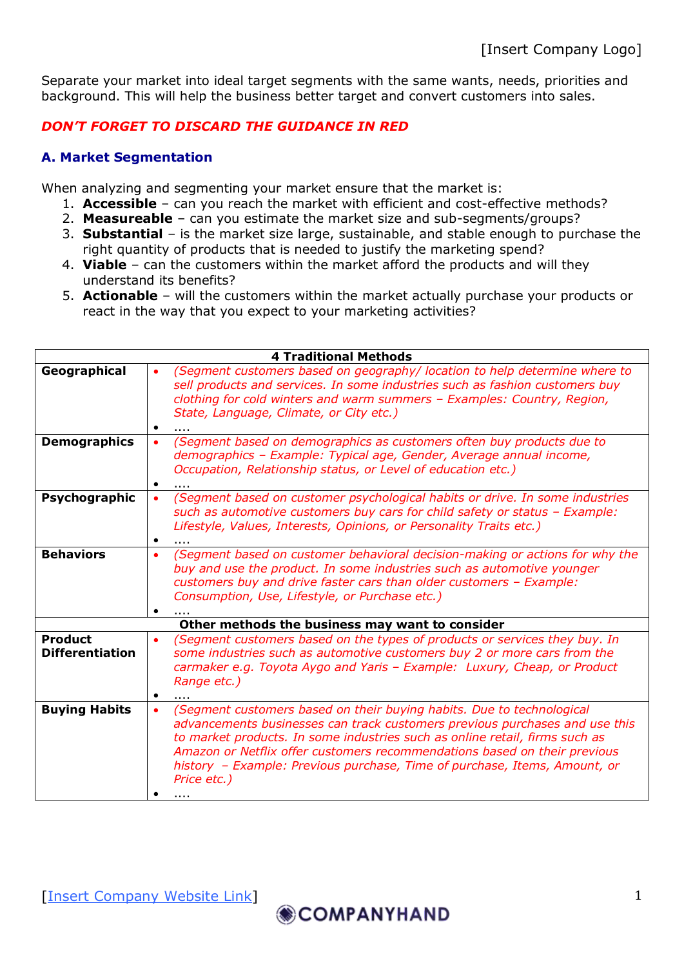Separate your market into ideal target segments with the same wants, needs, priorities and background. This will help the business better target and convert customers into sales.

## *DON'T FORGET TO DISCARD THE GUIDANCE IN RED*

## **A. Market Segmentation**

When analyzing and segmenting your market ensure that the market is:

- 1. **Accessible** can you reach the market with efficient and cost-effective methods?
- 2. **Measureable** can you estimate the market size and sub-segments/groups?
- 3. **Substantial** is the market size large, sustainable, and stable enough to purchase the right quantity of products that is needed to justify the marketing spend?
- 4. **Viable** can the customers within the market afford the products and will they understand its benefits?
- 5. **Actionable** will the customers within the market actually purchase your products or react in the way that you expect to your marketing activities?

| <b>4 Traditional Methods</b>                    |                                                                                                                                                                                                                                                                                                                                                                                                                                |
|-------------------------------------------------|--------------------------------------------------------------------------------------------------------------------------------------------------------------------------------------------------------------------------------------------------------------------------------------------------------------------------------------------------------------------------------------------------------------------------------|
| Geographical                                    | (Segment customers based on geography/ location to help determine where to<br>sell products and services. In some industries such as fashion customers buy<br>clothing for cold winters and warm summers - Examples: Country, Region,<br>State, Language, Climate, or City etc.)                                                                                                                                               |
| <b>Demographics</b>                             | (Segment based on demographics as customers often buy products due to<br>demographics - Example: Typical age, Gender, Average annual income,<br>Occupation, Relationship status, or Level of education etc.)                                                                                                                                                                                                                   |
| Psychographic                                   | (Segment based on customer psychological habits or drive. In some industries<br>such as automotive customers buy cars for child safety or status - Example:<br>Lifestyle, Values, Interests, Opinions, or Personality Traits etc.)                                                                                                                                                                                             |
| <b>Behaviors</b>                                | (Segment based on customer behavioral decision-making or actions for why the<br>$\bullet$<br>buy and use the product. In some industries such as automotive younger<br>customers buy and drive faster cars than older customers - Example:<br>Consumption, Use, Lifestyle, or Purchase etc.)                                                                                                                                   |
| Other methods the business may want to consider |                                                                                                                                                                                                                                                                                                                                                                                                                                |
| <b>Product</b><br><b>Differentiation</b>        | (Segment customers based on the types of products or services they buy. In<br>٠<br>some industries such as automotive customers buy 2 or more cars from the<br>carmaker e.g. Toyota Aygo and Yaris - Example: Luxury, Cheap, or Product<br>Range etc.)                                                                                                                                                                         |
| <b>Buying Habits</b>                            | (Segment customers based on their buying habits. Due to technological<br>$\bullet$<br>advancements businesses can track customers previous purchases and use this<br>to market products. In some industries such as online retail, firms such as<br>Amazon or Netflix offer customers recommendations based on their previous<br>history - Example: Previous purchase, Time of purchase, Items, Amount, or<br>Price etc.)<br>. |